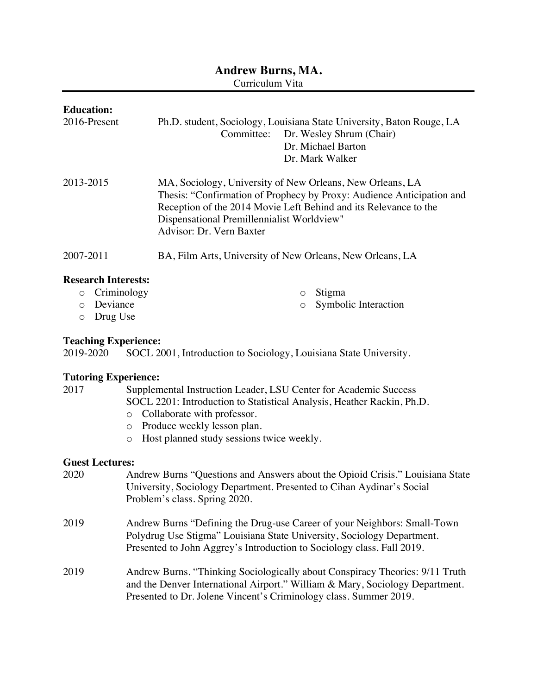# **Andrew Burns, MA.**

Curriculum Vita

| <b>Education:</b><br>2016-Present                                                                             | Ph.D. student, Sociology, Louisiana State University, Baton Rouge, LA<br>Committee: Dr. Wesley Shrum (Chair)<br>Dr. Michael Barton<br>Dr. Mark Walker                                                                                                                            |  |
|---------------------------------------------------------------------------------------------------------------|----------------------------------------------------------------------------------------------------------------------------------------------------------------------------------------------------------------------------------------------------------------------------------|--|
| 2013-2015                                                                                                     | MA, Sociology, University of New Orleans, New Orleans, LA<br>Thesis: "Confirmation of Prophecy by Proxy: Audience Anticipation and<br>Reception of the 2014 Movie Left Behind and its Relevance to the<br>Dispensational Premillennialist Worldview"<br>Advisor: Dr. Vern Baxter |  |
| 2007-2011                                                                                                     | BA, Film Arts, University of New Orleans, New Orleans, LA                                                                                                                                                                                                                        |  |
| <b>Research Interests:</b><br>Criminology<br>$\circ$<br>Deviance<br>$\circ$<br>Drug Use<br>$\circ$            | Stigma<br>$\circ$<br>Symbolic Interaction<br>$\circ$                                                                                                                                                                                                                             |  |
| <b>Teaching Experience:</b><br>2019-2020<br>SOCL 2001, Introduction to Sociology, Louisiana State University. |                                                                                                                                                                                                                                                                                  |  |
| <b>Tutoring Experience:</b>                                                                                   |                                                                                                                                                                                                                                                                                  |  |
| 2017                                                                                                          | Supplemental Instruction Leader, LSU Center for Academic Success                                                                                                                                                                                                                 |  |
| $\circ$                                                                                                       | SOCL 2201: Introduction to Statistical Analysis, Heather Rackin, Ph.D.<br>Collaborate with professor.                                                                                                                                                                            |  |

- o Produce weekly lesson plan.
- o Host planned study sessions twice weekly.

### **Guest Lectures:**

| 2020 | Andrew Burns "Questions and Answers about the Opioid Crisis." Louisiana State<br>University, Sociology Department. Presented to Cihan Aydinar's Social<br>Problem's class. Spring 2020.                                           |
|------|-----------------------------------------------------------------------------------------------------------------------------------------------------------------------------------------------------------------------------------|
| 2019 | Andrew Burns "Defining the Drug-use Career of your Neighbors: Small-Town<br>Polydrug Use Stigma" Louisiana State University, Sociology Department.<br>Presented to John Aggrey's Introduction to Sociology class. Fall 2019.      |
| 2019 | Andrew Burns. "Thinking Sociologically about Conspiracy Theories: 9/11 Truth<br>and the Denver International Airport." William & Mary, Sociology Department.<br>Presented to Dr. Jolene Vincent's Criminology class. Summer 2019. |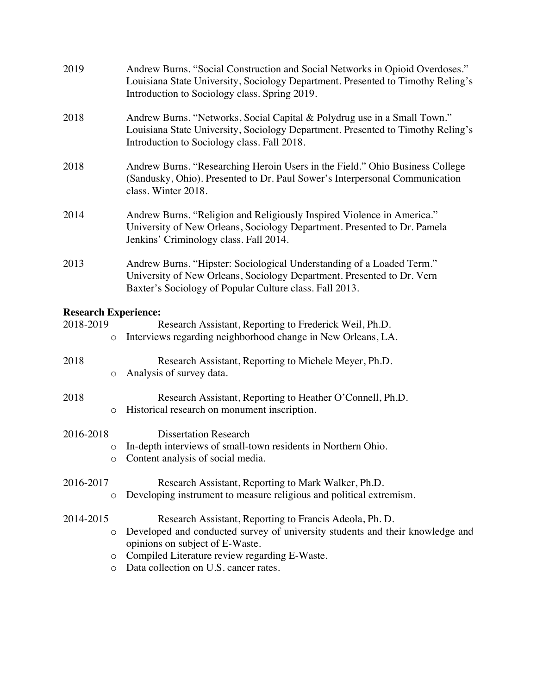| 2019                        |         | Andrew Burns. "Social Construction and Social Networks in Opioid Overdoses."<br>Louisiana State University, Sociology Department. Presented to Timothy Reling's<br>Introduction to Sociology class. Spring 2019. |
|-----------------------------|---------|------------------------------------------------------------------------------------------------------------------------------------------------------------------------------------------------------------------|
| 2018                        |         | Andrew Burns. "Networks, Social Capital & Polydrug use in a Small Town."<br>Louisiana State University, Sociology Department. Presented to Timothy Reling's<br>Introduction to Sociology class. Fall 2018.       |
| 2018                        |         | Andrew Burns. "Researching Heroin Users in the Field." Ohio Business College<br>(Sandusky, Ohio). Presented to Dr. Paul Sower's Interpersonal Communication<br>class. Winter 2018.                               |
| 2014                        |         | Andrew Burns. "Religion and Religiously Inspired Violence in America."<br>University of New Orleans, Sociology Department. Presented to Dr. Pamela<br>Jenkins' Criminology class. Fall 2014.                     |
| 2013                        |         | Andrew Burns. "Hipster: Sociological Understanding of a Loaded Term."<br>University of New Orleans, Sociology Department. Presented to Dr. Vern<br>Baxter's Sociology of Popular Culture class. Fall 2013.       |
| <b>Research Experience:</b> |         |                                                                                                                                                                                                                  |
| 2018-2019                   | $\circ$ | Research Assistant, Reporting to Frederick Weil, Ph.D.<br>Interviews regarding neighborhood change in New Orleans, LA.                                                                                           |
| 2018                        | O       | Research Assistant, Reporting to Michele Meyer, Ph.D.<br>Analysis of survey data.                                                                                                                                |
| 2018                        | $\circ$ | Research Assistant, Reporting to Heather O'Connell, Ph.D.<br>Historical research on monument inscription.                                                                                                        |
| 2016-2018                   |         | <b>Dissertation Research</b>                                                                                                                                                                                     |
|                             | $\circ$ | In-depth interviews of small-town residents in Northern Ohio.                                                                                                                                                    |
|                             | O       | Content analysis of social media.                                                                                                                                                                                |
| 2016-2017                   |         | Research Assistant, Reporting to Mark Walker, Ph.D.                                                                                                                                                              |
|                             | O       | Developing instrument to measure religious and political extremism.                                                                                                                                              |
| 2014-2015                   |         | Research Assistant, Reporting to Francis Adeola, Ph. D.                                                                                                                                                          |
|                             | O       | Developed and conducted survey of university students and their knowledge and                                                                                                                                    |
|                             | O       | opinions on subject of E-Waste.<br>Compiled Literature review regarding E-Waste.                                                                                                                                 |
|                             | O       | Data collection on U.S. cancer rates.                                                                                                                                                                            |
|                             |         |                                                                                                                                                                                                                  |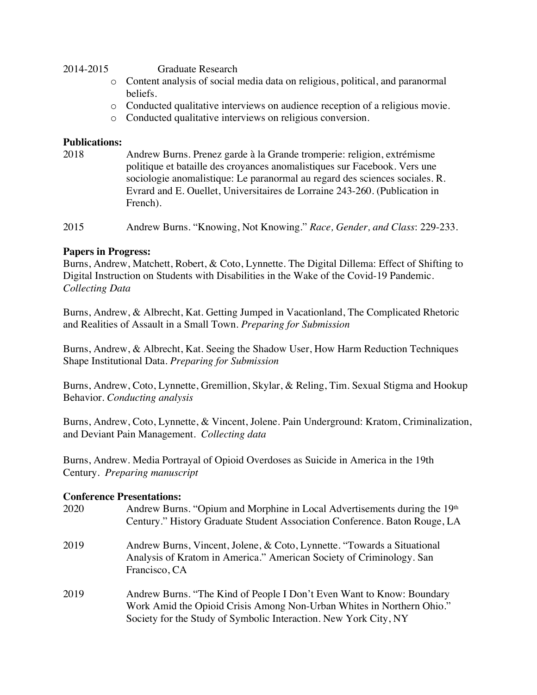#### 2014-2015

Graduate Research

- o Content analysis of social media data on religious, political, and paranormal beliefs.
- o Conducted qualitative interviews on audience reception of a religious movie.
- o Conducted qualitative interviews on religious conversion.

### **Publications:**

2018 Andrew Burns. Prenez garde à la Grande tromperie: religion, extrémisme politique et bataille des croyances anomalistiques sur Facebook. Vers une sociologie anomalistique: Le paranormal au regard des sciences sociales. R. Evrard and E. Ouellet, Universitaires de Lorraine 243-260. (Publication in French).

2015 2015 Andrew Burns. "Knowing, Not Knowing." *Race, Gender, and Class*: 229-233.

### **Papers in Progress:**

Burns, Andrew, Matchett, Robert, & Coto, Lynnette. The Digital Dillema: Effect of Shifting to Digital Instruction on Students with Disabilities in the Wake of the Covid-19 Pandemic. *Collecting Data* 

Burns, Andrew, & Albrecht, Kat. Getting Jumped in Vacationland, The Complicated Rhetoric and Realities of Assault in a Small Town. *Preparing for Submission* 

Burns, Andrew, & Albrecht, Kat. Seeing the Shadow User, How Harm Reduction Techniques Shape Institutional Data. *Preparing for Submission* 

Burns, Andrew, Coto, Lynnette, Gremillion, Skylar, & Reling, Tim. Sexual Stigma and Hookup Behavior. *Conducting analysis* 

Burns, Andrew, Coto, Lynnette, & Vincent, Jolene. Pain Underground: Kratom, Criminalization, and Deviant Pain Management. *Collecting data* 

Burns, Andrew. Media Portrayal of Opioid Overdoses as Suicide in America in the 19th Century*. Preparing manuscript* 

### **Conference Presentations:**

- 2020 Andrew Burns. "Opium and Morphine in Local Advertisements during the  $19<sup>th</sup>$ Century." History Graduate Student Association Conference. Baton Rouge, LA
- 2019 Andrew Burns, Vincent, Jolene, & Coto, Lynnette. "Towards a Situational Analysis of Kratom in America." American Society of Criminology. San Francisco, CA
- 2019 Andrew Burns. "The Kind of People I Don't Even Want to Know: Boundary Work Amid the Opioid Crisis Among Non-Urban Whites in Northern Ohio." Society for the Study of Symbolic Interaction. New York City, NY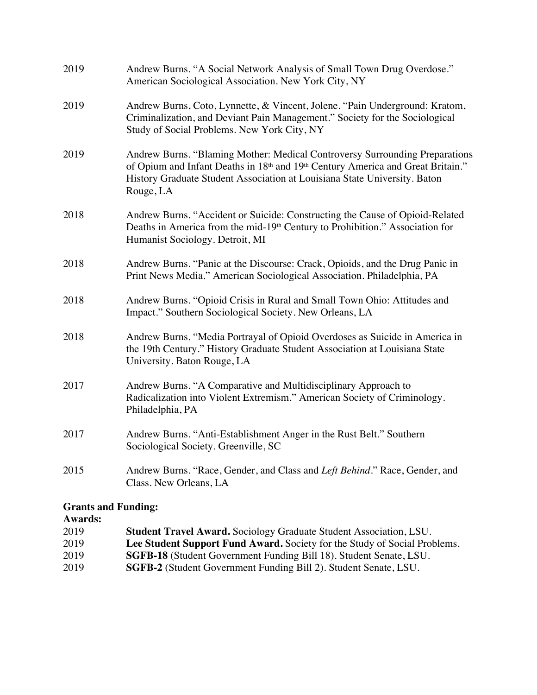| 2019 | Andrew Burns. "A Social Network Analysis of Small Town Drug Overdose."<br>American Sociological Association. New York City, NY                                                                                                                           |
|------|----------------------------------------------------------------------------------------------------------------------------------------------------------------------------------------------------------------------------------------------------------|
| 2019 | Andrew Burns, Coto, Lynnette, & Vincent, Jolene. "Pain Underground: Kratom,<br>Criminalization, and Deviant Pain Management." Society for the Sociological<br>Study of Social Problems. New York City, NY                                                |
| 2019 | Andrew Burns. "Blaming Mother: Medical Controversy Surrounding Preparations<br>of Opium and Infant Deaths in 18th and 19th Century America and Great Britain."<br>History Graduate Student Association at Louisiana State University. Baton<br>Rouge, LA |
| 2018 | Andrew Burns. "Accident or Suicide: Constructing the Cause of Opioid-Related<br>Deaths in America from the mid-19 <sup>th</sup> Century to Prohibition." Association for<br>Humanist Sociology. Detroit, MI                                              |
| 2018 | Andrew Burns. "Panic at the Discourse: Crack, Opioids, and the Drug Panic in<br>Print News Media." American Sociological Association. Philadelphia, PA                                                                                                   |
| 2018 | Andrew Burns. "Opioid Crisis in Rural and Small Town Ohio: Attitudes and<br>Impact." Southern Sociological Society. New Orleans, LA                                                                                                                      |
| 2018 | Andrew Burns. "Media Portrayal of Opioid Overdoses as Suicide in America in<br>the 19th Century." History Graduate Student Association at Louisiana State<br>University. Baton Rouge, LA                                                                 |
| 2017 | Andrew Burns. "A Comparative and Multidisciplinary Approach to<br>Radicalization into Violent Extremism." American Society of Criminology.<br>Philadelphia, PA                                                                                           |
| 2017 | Andrew Burns. "Anti-Establishment Anger in the Rust Belt." Southern<br>Sociological Society. Greenville, SC                                                                                                                                              |
| 2015 | Andrew Burns. "Race, Gender, and Class and Left Behind." Race, Gender, and<br>Class. New Orleans, LA                                                                                                                                                     |
|      |                                                                                                                                                                                                                                                          |

# **Grants and Funding:**

# **Awards:**

| 2019<br><b>Student Travel Award.</b> Sociology Graduate Student Association, LSU. |  |
|-----------------------------------------------------------------------------------|--|
| 2019<br>Lee Student Support Fund Award. Society for the Study of Social Problems. |  |
| 2019<br>SGFB-18 (Student Government Funding Bill 18). Student Senate, LSU.        |  |
| 2019<br><b>SGFB-2</b> (Student Government Funding Bill 2). Student Senate, LSU.   |  |